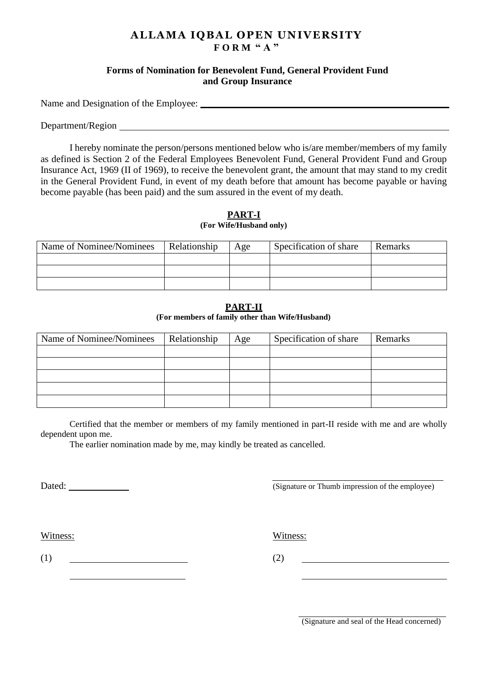# **ALLAMA IQBAL OPEN UNIVERSITY F O R M " A "**

## **Forms of Nomination for Benevolent Fund, General Provident Fund and Group Insurance**

Name and Designation of the Employee:

Department/Region Legal and the contract of the contract of the contract of the contract of the contract of the contract of the contract of the contract of the contract of the contract of the contract of the contract of th

I hereby nominate the person/persons mentioned below who is/are member/members of my family as defined is Section 2 of the Federal Employees Benevolent Fund, General Provident Fund and Group Insurance Act, 1969 (II of 1969), to receive the benevolent grant, the amount that may stand to my credit in the General Provident Fund, in event of my death before that amount has become payable or having become payable (has been paid) and the sum assured in the event of my death.

### **PART-I (For Wife/Husband only)**

| Name of Nominee/Nominees | Relationship | Age | Specification of share | Remarks |
|--------------------------|--------------|-----|------------------------|---------|
|                          |              |     |                        |         |
|                          |              |     |                        |         |
|                          |              |     |                        |         |

# **PART-II**

#### **(For members of family other than Wife/Husband)**

| Name of Nominee/Nominees | Relationship | Age | Specification of share | Remarks |
|--------------------------|--------------|-----|------------------------|---------|
|                          |              |     |                        |         |
|                          |              |     |                        |         |
|                          |              |     |                        |         |
|                          |              |     |                        |         |
|                          |              |     |                        |         |

Certified that the member or members of my family mentioned in part-II reside with me and are wholly dependent upon me.

The earlier nomination made by me, may kindly be treated as cancelled.

Dated: (Signature or Thumb impression of the employee)

Witness: Witness:

 $(1)$  (2)

(Signature and seal of the Head concerned)